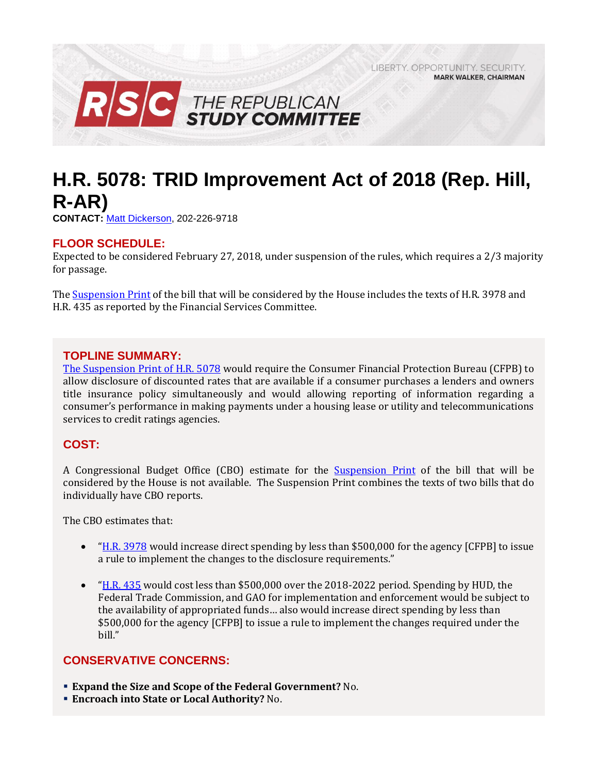LIBERTY, OPPORTUNITY, SECURITY, **MARK WALKER, CHAIRMAN** 



# **H.R. 5078: TRID Improvement Act of 2018 (Rep. Hill, R-AR)**

**CONTACT:** [Matt Dickerson,](mailto:Matthew.Dickerson@mail.house.gov) 202-226-9718

## **FLOOR SCHEDULE:**

Expected to be considered February 27, 2018, under suspension of the rules, which requires a 2/3 majority for passage.

Th[e Suspension](http://docs.house.gov/billsthisweek/20180226/HR5078.pdf) Print of the bill that will be considered by the House includes the texts of H.R. 3978 and H.R. 435 as reported by the Financial Services Committee.

## **TOPLINE SUMMARY:**

[The Suspension Print of H.R. 5078](http://docs.house.gov/billsthisweek/20180226/HR5078.pdf) would require the Consumer Financial Protection Bureau (CFPB) to allow disclosure of discounted rates that are available if a consumer purchases a lenders and owners title insurance policy simultaneously and would allowing reporting of information regarding a consumer's performance in making payments under a housing lease or utility and telecommunications services to credit ratings agencies.

# **COST:**

A Congressional Budget Office (CBO) estimate for the [Suspension](http://docs.house.gov/billsthisweek/20180226/HR5078.pdf) Print of the bill that will be considered by the House is not available. The Suspension Print combines the texts of two bills that do individually have CBO reports.

The CBO estimates that:

- "[H.R. 3978](https://www.cbo.gov/system/files/115th-congress-2017-2018/costestimate/hr3978.pdf) would increase direct spending by less than \$500,000 for the agency [CFPB] to issue a rule to implement the changes to the disclosure requirements."
- "[H.R. 435](https://www.cbo.gov/system/files/115th-congress-2017-2018/costestimate/hr435.pdf) would cost less than \$500,000 over the 2018-2022 period. Spending by HUD, the Federal Trade Commission, and GAO for implementation and enforcement would be subject to the availability of appropriated funds… also would increase direct spending by less than \$500,000 for the agency [CFPB] to issue a rule to implement the changes required under the bill."

#### **CONSERVATIVE CONCERNS:**

- **Expand the Size and Scope of the Federal Government?** No.
- **Encroach into State or Local Authority?** No.